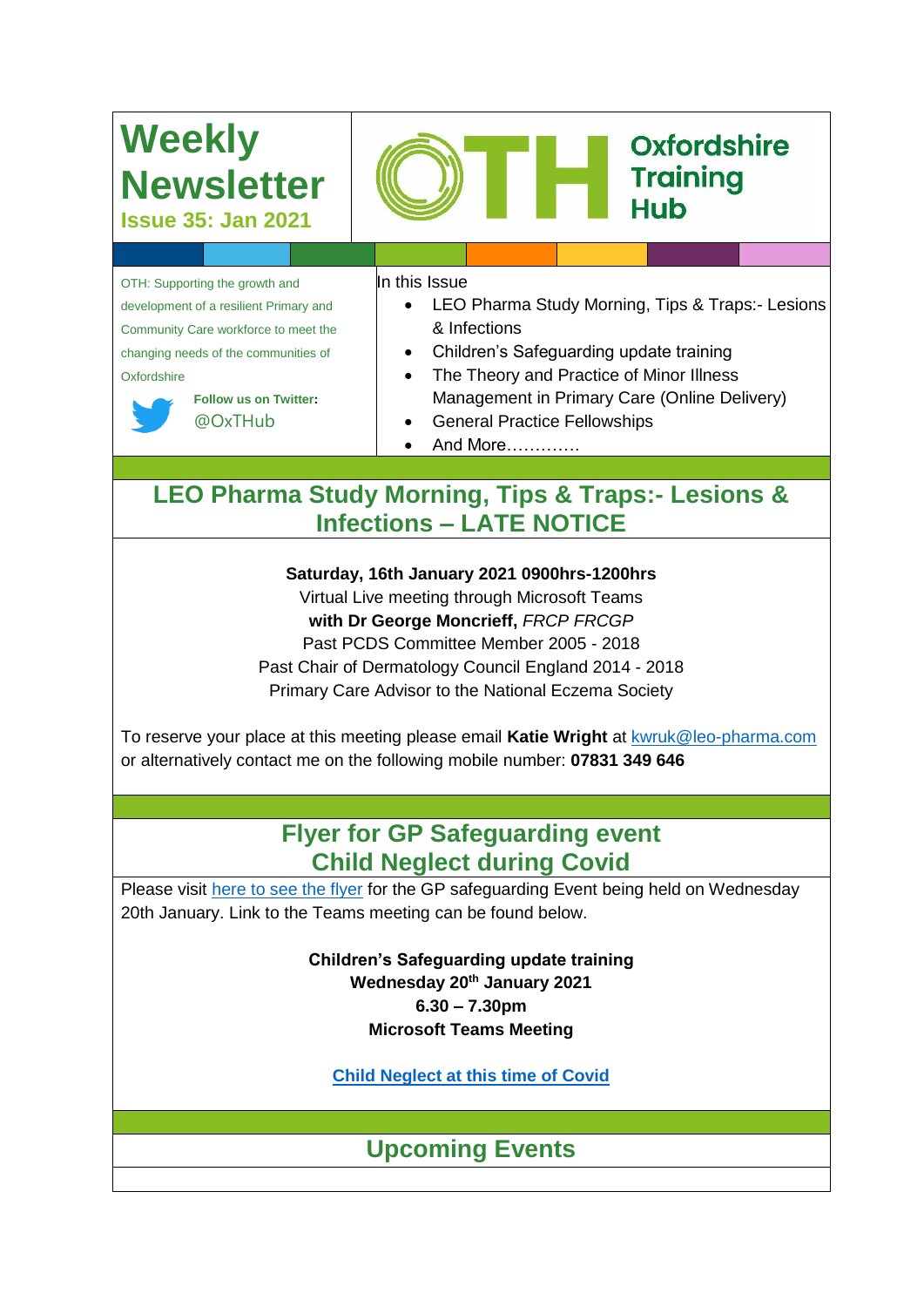# **Weekly Newsletter**

**Issue 35: Jan 2021**

OTH: Supporting the growth and development of a resilient Primary and Community Care workforce to meet the changing needs of the communities of **Oxfordshire** 



**Follow us on Twitter:** @OxTHub

In this Issue

 LEO Pharma Study Morning, Tips & Traps:- Lesions & Infections

Oxfordshire

**Training** 

**Hub** 

- Children's Safeguarding update training
- The Theory and Practice of Minor Illness Management in Primary Care (Online Delivery)
- General Practice Fellowships
- And More………….

# **LEO Pharma Study Morning, Tips & Traps:- Lesions & Infections – LATE NOTICE**

**Saturday, 16th January 2021 0900hrs-1200hrs**

Virtual Live meeting through Microsoft Teams

**with Dr George Moncrieff,** *FRCP FRCGP*

Past PCDS Committee Member 2005 - 2018

Past Chair of Dermatology Council England 2014 - 2018

Primary Care Advisor to the National Eczema Society

To reserve your place at this meeting please email **Katie Wright** at [kwruk@leo-pharma.com](mailto:kwruk@leo-pharma.com) or alternatively contact me on the following mobile number: **07831 349 646**

# **Flyer for GP Safeguarding event Child Neglect during Covid**

Please visit [here to see the flyer](https://oxfordshiretraining.net/event/gp-safeguarding-event-child-neglect-during-covid/) for the GP safeguarding Event being held on Wednesday 20th January. Link to the Teams meeting can be found below.

> **Children's Safeguarding update training Wednesday 20th January 2021 6.30 – 7.30pm Microsoft Teams Meeting**

**[Child Neglect at this time of Covid](https://teams.microsoft.com/l/meetup-join/19%3ameeting_ZjkzYzU2OGUtMzM0OS00OTA2LWE1Y2MtMTY5Y2VhNTRmZGY3%40thread.v2/0?context=%7b%22Tid%22%3a%2237c354b2-85b0-47f5-b222-07b48d774ee3%22%2c%22Oid%22%3a%22a4e6be97-17a9-40db-b47d-7aeec26a0f12%22%7d)**

**Upcoming Events**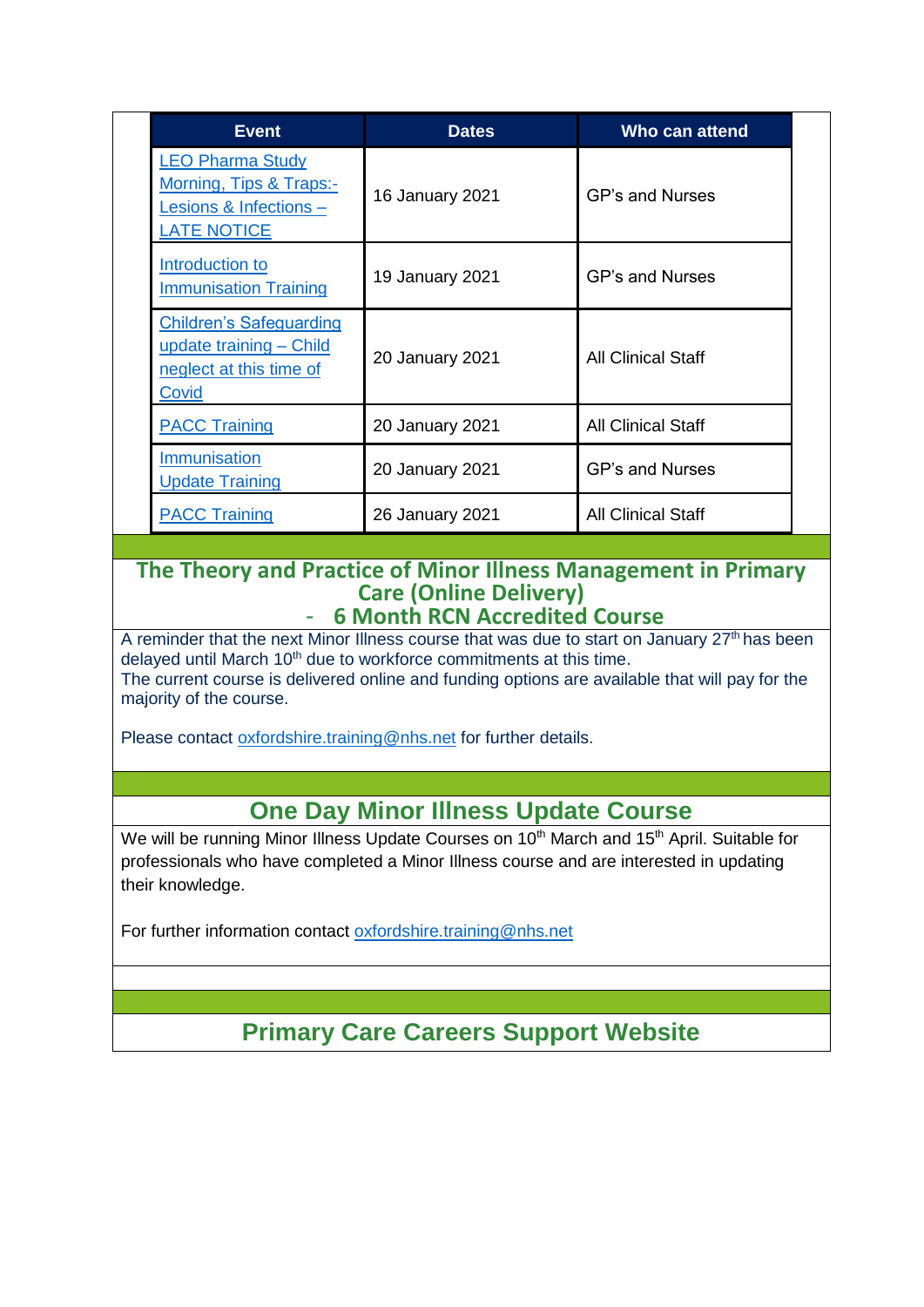|  | <b>Event</b>                                                                                       | <b>Dates</b>    | Who can attend            |  |
|--|----------------------------------------------------------------------------------------------------|-----------------|---------------------------|--|
|  | <b>LEO Pharma Study</b><br>Morning, Tips & Traps:-<br>Lesions & Infections -<br><b>LATE NOTICE</b> | 16 January 2021 | <b>GP's and Nurses</b>    |  |
|  | Introduction to<br><b>Immunisation Training</b>                                                    | 19 January 2021 | GP's and Nurses           |  |
|  | <b>Children's Safeguarding</b><br>update training - Child<br>neglect at this time of<br>Covid      | 20 January 2021 | <b>All Clinical Staff</b> |  |
|  | <b>PACC Training</b>                                                                               | 20 January 2021 | <b>All Clinical Staff</b> |  |
|  | <b>Immunisation</b><br><b>Update Training</b>                                                      | 20 January 2021 | <b>GP's and Nurses</b>    |  |
|  | <b>PACC Training</b>                                                                               | 26 January 2021 | <b>All Clinical Staff</b> |  |

#### **The Theory and Practice of Minor Illness Management in Primary Care (Online Delivery)** - **6 Month RCN Accredited Course**

A reminder that the next Minor Illness course that was due to start on January 27<sup>th</sup> has been delayed until March 10<sup>th</sup> due to workforce commitments at this time. The current course is delivered online and funding options are available that will pay for the majority of the course.

Please contact [oxfordshire.training@nhs.net](mailto:oxfordshire.training@nhs.net) for further details.

# **One Day Minor Illness Update Course**

We will be running Minor Illness Update Courses on 10<sup>th</sup> March and 15<sup>th</sup> April. Suitable for professionals who have completed a Minor Illness course and are interested in updating their knowledge.

For further information contact [oxfordshire.training@nhs.net](mailto:oxfordshire.training@nhs.net)

**Primary Care Careers Support Website**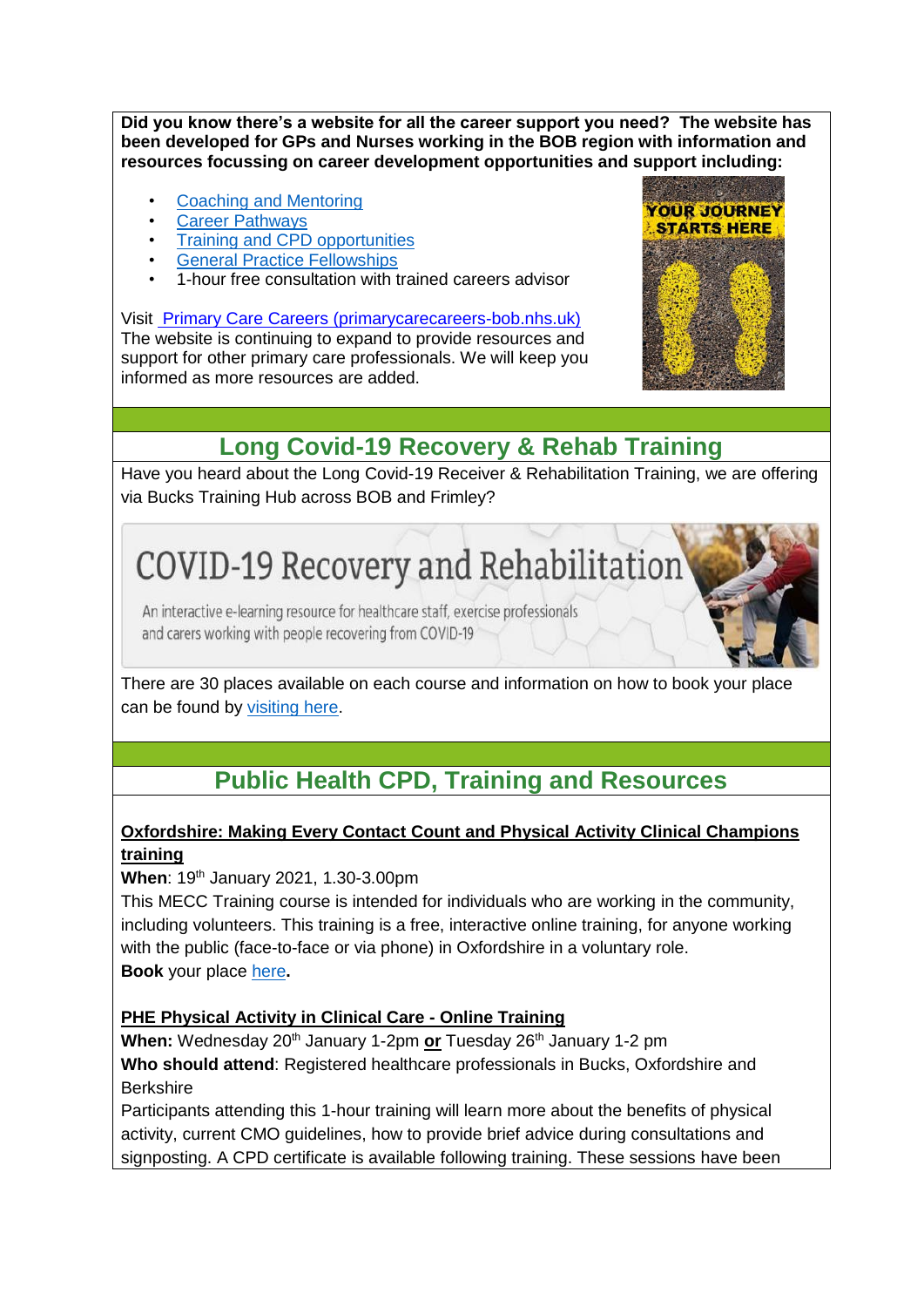**Did you know there's a website for all the career support you need? The website has been developed for GPs and Nurses working in the BOB region with information and resources focussing on career development opportunities and support including:** 

- [Coaching and Mentoring](http://primarycarecareers-bob.nhs.uk/general-practitioners/coaching-and-mentoring/)
- **Career Pathways**
- **[Training and CPD opportunities](http://primarycarecareers-bob.nhs.uk/general-practitioners/training-and-cpd/)**
- **[General Practice Fellowships](http://primarycarecareers-bob.nhs.uk/newly-qualified-general-practice-fellowhips/)**
- 1-hour free consultation with trained careers advisor

Visit [Primary Care Careers \(primarycarecareers-bob.nhs.uk\)](http://primarycarecareers-bob.nhs.uk/) The website is continuing to expand to provide resources and

support for other primary care professionals. We will keep you informed as more resources are added.



# **Long Covid-19 Recovery & Rehab Training**

Have you heard about the Long Covid-19 Receiver & Rehabilitation Training, we are offering via Bucks Training Hub across BOB and Frimley?

# COVID-19 Recovery and Rehabilitation

An interactive e-learning resource for healthcare staff, exercise professionals and carers working with people recovering from COVID-19

There are 30 places available on each course and information on how to book your place can be found by [visiting here.](https://oxfordshiretraining.net/long-covid-19-recovery-and-rehab-training/)

# **Public Health CPD, Training and Resources**

#### **Oxfordshire: Making Every Contact Count and Physical Activity Clinical Champions training**

**When: 19th January 2021, 1.30-3.00pm** 

This MECC Training course is intended for individuals who are working in the community, including volunteers. This training is a free, interactive online training, for anyone working with the public (face-to-face or via phone) in Oxfordshire in a voluntary role. **Book** your place [here](https://oxfordshiretraining.net/event/online-learning-making-every-contact-count-mecc-training-course-for-volunteers/)**.**

#### **PHE Physical Activity in Clinical Care - Online Training**

**When:** Wednesday 20<sup>th</sup> January 1-2pm or Tuesday 26<sup>th</sup> January 1-2 pm **Who should attend**: Registered healthcare professionals in Bucks, Oxfordshire and **Berkshire** 

Participants attending this 1-hour training will learn more about the benefits of physical activity, current CMO guidelines, how to provide brief advice during consultations and signposting. A CPD certificate is available following training. These sessions have been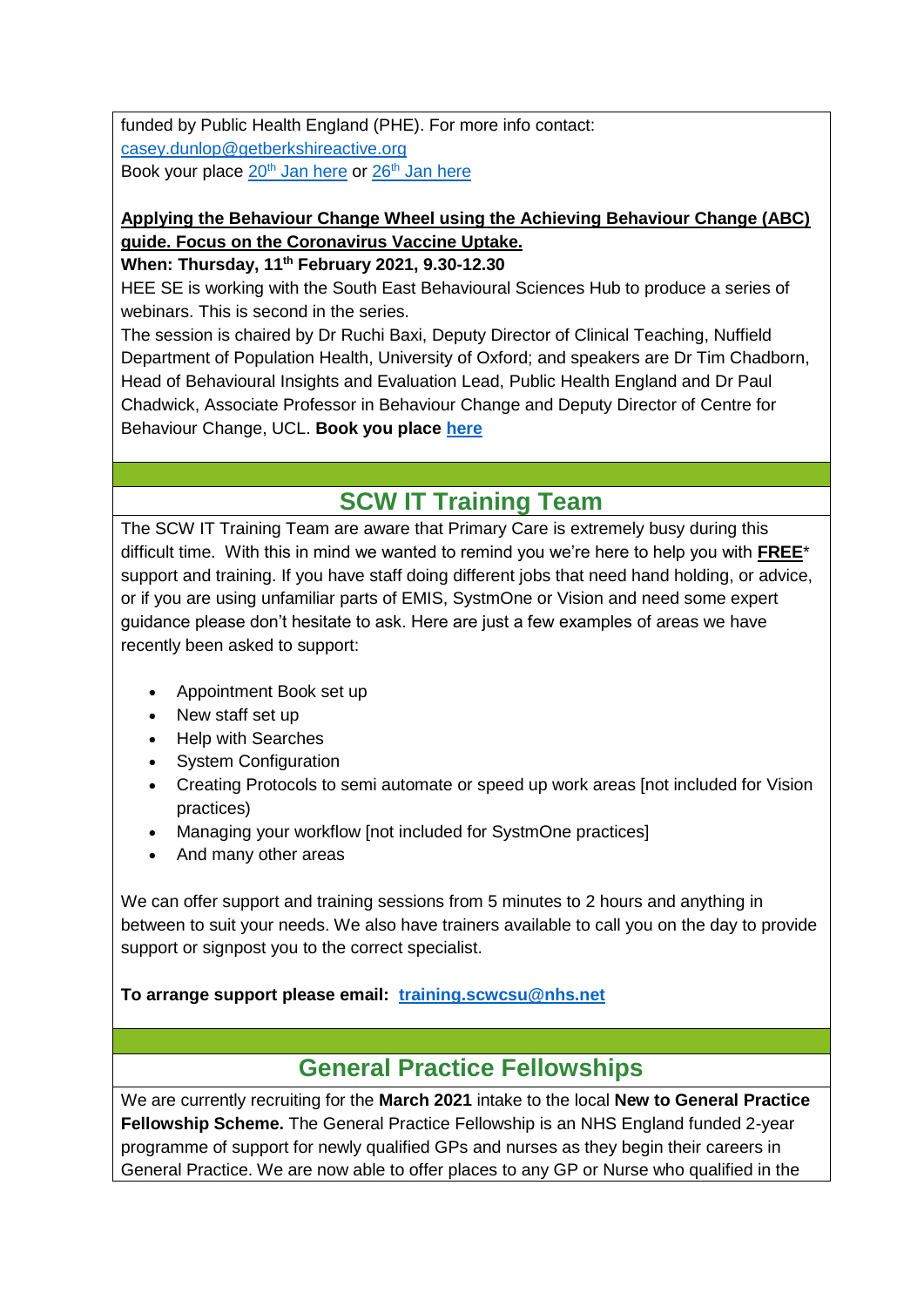funded by Public Health England (PHE). For more info contact: [casey.dunlop@getberkshireactive.org](mailto:casey.dunlop@getberkshireactive.org) Book your place  $20<sup>th</sup>$  [Jan here](https://oxfordshiretraining.net/event/free-online-physical-activity-in-clinical-care-training-for-healthcare-professionals-3/) or  $26<sup>th</sup>$  Jan here

#### **Applying the Behaviour Change Wheel using the Achieving Behaviour Change (ABC) guide. Focus on the Coronavirus Vaccine Uptake.**

**When: Thursday, 11th February 2021, 9.30-12.30**

HEE SE is working with the South East Behavioural Sciences Hub to produce a series of webinars. This is second in the series.

The session is chaired by Dr Ruchi Baxi, Deputy Director of Clinical Teaching, Nuffield Department of Population Health, University of Oxford; and speakers are Dr Tim Chadborn, Head of Behavioural Insights and Evaluation Lead, Public Health England and Dr Paul Chadwick, Associate Professor in Behaviour Change and Deputy Director of Centre for Behaviour Change, UCL. **Book you place [here](https://www.eventbrite.co.uk/e/applying-the-behaviour-change-wheel-using-the-abc-guidecoronavirus-vaccine-tickets-133062109351)**

# **SCW IT Training Team**

The SCW IT Training Team are aware that Primary Care is extremely busy during this difficult time. With this in mind we wanted to remind you we're here to help you with **FREE**\* support and training. If you have staff doing different jobs that need hand holding, or advice, or if you are using unfamiliar parts of EMIS, SystmOne or Vision and need some expert guidance please don't hesitate to ask. Here are just a few examples of areas we have recently been asked to support:

- Appointment Book set up
- New staff set up
- Help with Searches
- System Configuration
- Creating Protocols to semi automate or speed up work areas [not included for Vision practices)
- Managing your workflow [not included for SystmOne practices]
- And many other areas

We can offer support and training sessions from 5 minutes to 2 hours and anything in between to suit your needs. We also have trainers available to call you on the day to provide support or signpost you to the correct specialist.

#### **To arrange support please email: [training.scwcsu@nhs.net](mailto:training.scwcsu@nhs.net)**

# **General Practice Fellowships**

We are currently recruiting for the **March 2021** intake to the local **New to General Practice Fellowship Scheme.** The General Practice Fellowship is an NHS England funded 2-year programme of support for newly qualified GPs and nurses as they begin their careers in General Practice. We are now able to offer places to any GP or Nurse who qualified in the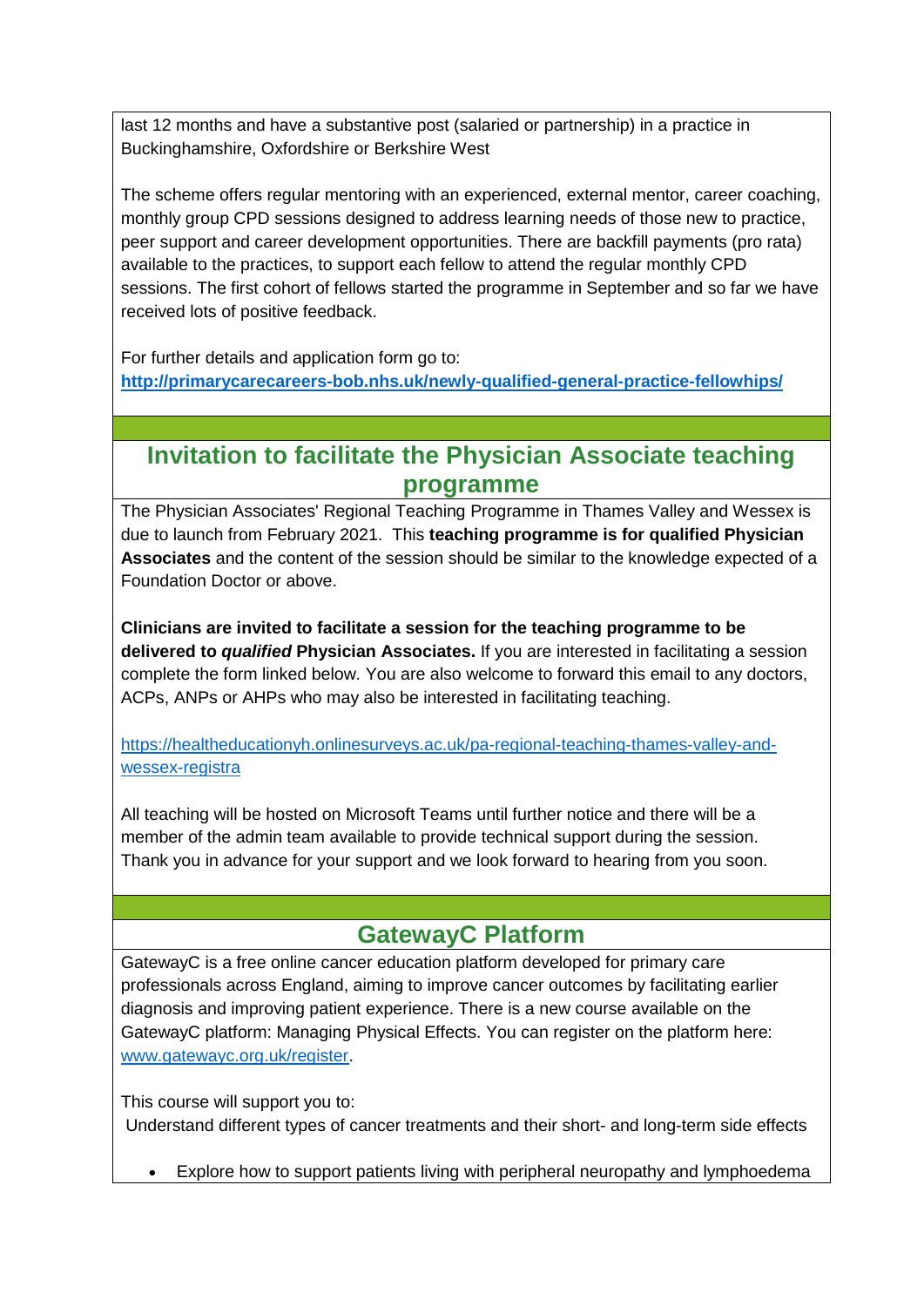last 12 months and have a substantive post (salaried or partnership) in a practice in Buckinghamshire, Oxfordshire or Berkshire West

The scheme offers regular mentoring with an experienced, external mentor, career coaching, monthly group CPD sessions designed to address learning needs of those new to practice, peer support and career development opportunities. There are backfill payments (pro rata) available to the practices, to support each fellow to attend the regular monthly CPD sessions. The first cohort of fellows started the programme in September and so far we have received lots of positive feedback.

For further details and application form go to: **<http://primarycarecareers-bob.nhs.uk/newly-qualified-general-practice-fellowhips/>**

### **Invitation to facilitate the Physician Associate teaching programme**

The Physician Associates' Regional Teaching Programme in Thames Valley and Wessex is due to launch from February 2021. This **teaching programme is for qualified Physician Associates** and the content of the session should be similar to the knowledge expected of a Foundation Doctor or above.

**Clinicians are invited to facilitate a session for the teaching programme to be delivered to** *qualified* **Physician Associates.** If you are interested in facilitating a session complete the form linked below. You are also welcome to forward this email to any doctors, ACPs, ANPs or AHPs who may also be interested in facilitating teaching.

[https://healtheducationyh.onlinesurveys.ac.uk/pa-regional-teaching-thames-valley-and](https://healtheducationyh.onlinesurveys.ac.uk/pa-regional-teaching-thames-valley-and-wessex-registra)[wessex-registra](https://healtheducationyh.onlinesurveys.ac.uk/pa-regional-teaching-thames-valley-and-wessex-registra)

All teaching will be hosted on Microsoft Teams until further notice and there will be a member of the admin team available to provide technical support during the session. Thank you in advance for your support and we look forward to hearing from you soon.

### **GatewayC Platform**

GatewayC is a free online cancer education platform developed for primary care professionals across England, aiming to improve cancer outcomes by facilitating earlier diagnosis and improving patient experience. There is a new course available on the GatewayC platform: Managing Physical Effects. You can register on the platform here: [www.gatewayc.org.uk/register.](http://www.gatewayc.org.uk/register)

This course will support you to:

Understand different types of cancer treatments and their short- and long-term side effects

Explore how to support patients living with peripheral neuropathy and lymphoedema